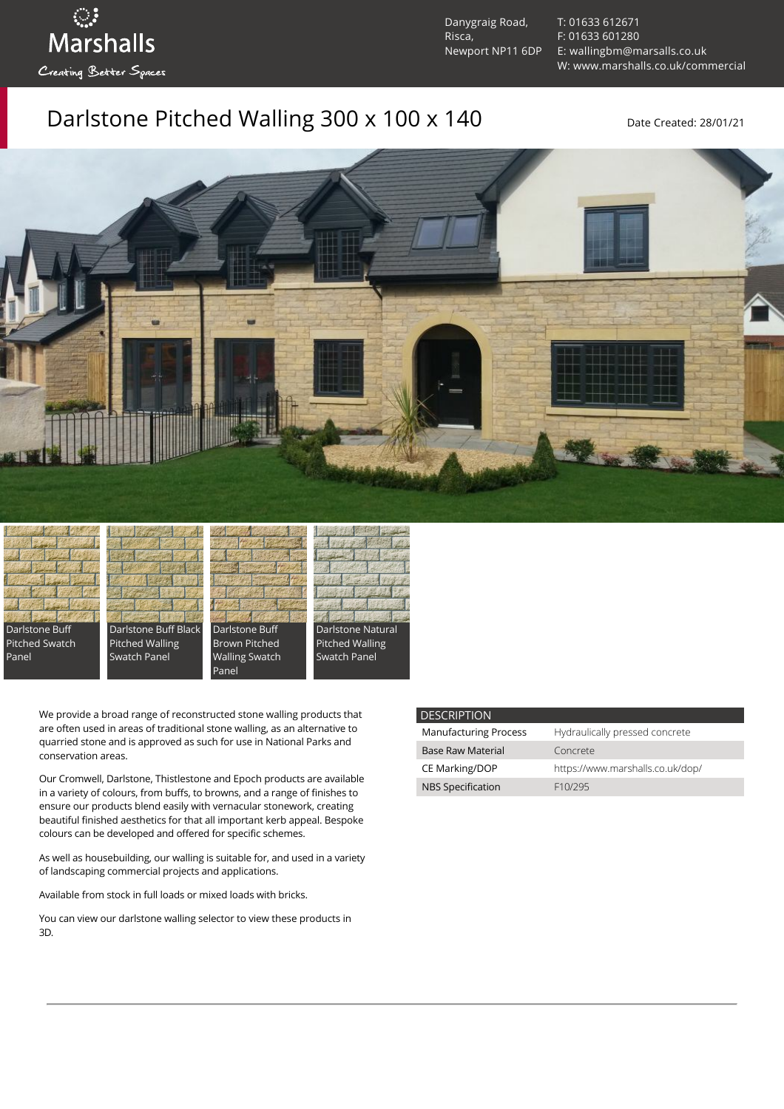ुः<br>Marshalls Creating Better Spaces

Danygraig Road, Risca, Newport NP11 6DP [T: 01633 612671](tel:01633%20612671) [F: 01633 601280](tel:01633%20601280) [E: wallingbm@marsalls.co.uk](mailto:wallingbm@marsalls.co.uk) [W: www.marshalls.co.uk/commercial](https://www.marshalls.co.uk/commercial)

### Darlstone Pitched Walling 300 x 100 x 140 Date Created: 28/01/21





Darlstone Buff Black Pitched Walling Swatch Panel



Panel



We provide a broad range of reconstructed stone walling products that are often used in areas of traditional stone walling, as an alternative to quarried stone and is approved as such for use in National Parks and conservation areas.

Our [Cromwell](https://www.marshalls.co.uk/commercial/product/cromwell-stone-walling), Darlstone, [Thistlestone](https://www.marshalls.co.uk/commercial/product/thistlestone-stone-walling) and Epoch products are available in a variety of colours, from buffs, to browns, and a range of finishes to ensure our products blend easily with vernacular stonework, creating beautiful finished aesthetics for that all important kerb appeal. Bespoke colours can be developed and offered for specific schemes.

As well as housebuilding, our walling is suitable for, and used in a variety of landscaping commercial projects and applications.

Available from stock in full loads or mixed loads with bricks.

You can view our [darlstone walling selector](https://www.paverpicker.com/paverpicker/?u=edenhall&cat=walling&subcat=darlstone_walling) to view these products in 3D.

#### **DESCRIPTION**

| <b>Manufacturing Process</b> | Hydraulically pressed concrete   |
|------------------------------|----------------------------------|
| <b>Base Raw Material</b>     | Concrete                         |
| CE Marking/DOP               | https://www.marshalls.co.uk/dop/ |
| <b>NBS Specification</b>     | F <sub>10</sub> /295             |